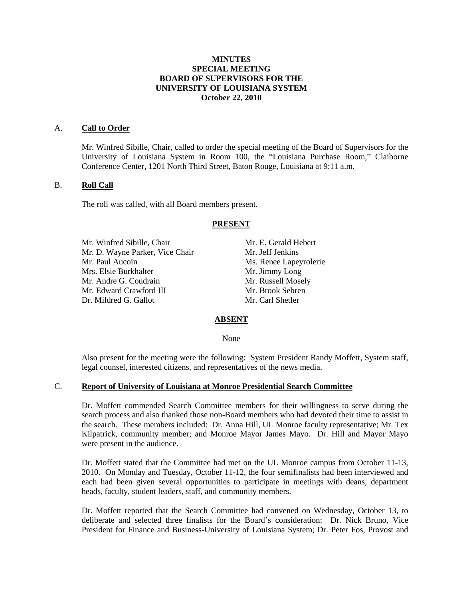## **MINUTES SPECIAL MEETING BOARD OF SUPERVISORS FOR THE UNIVERSITY OF LOUISIANA SYSTEM October 22, 2010**

#### A. **Call to Order**

Mr. Winfred Sibille, Chair, called to order the special meeting of the Board of Supervisors for the University of Louisiana System in Room 100, the "Louisiana Purchase Room," Claiborne Conference Center, 1201 North Third Street, Baton Rouge, Louisiana at 9:11 a.m.

#### B. **Roll Call**

The roll was called, with all Board members present.

#### **PRESENT**

Mr. Winfred Sibille, Chair Mr. E. Gerald Hebert Mr. D. Wayne Parker, Vice Chair Mr. Jeff Jenkins Mr. Paul Aucoin Ms. Renee Lapeyrolerie Mrs. Elsie Burkhalter Mr. Jimmy Long Mr. Andre G. Coudrain Mr. Russell Mosely Mr. Edward Crawford III Mr. Brook Sebren Dr. Mildred G. Gallot Mr. Carl Shetler

#### **ABSENT**

None

Also present for the meeting were the following: System President Randy Moffett, System staff, legal counsel, interested citizens, and representatives of the news media.

# C. **Report of University of Louisiana at Monroe Presidential Search Committee**

Dr. Moffett commended Search Committee members for their willingness to serve during the search process and also thanked those non-Board members who had devoted their time to assist in the search. These members included: Dr. Anna Hill, UL Monroe faculty representative; Mr. Tex Kilpatrick, community member; and Monroe Mayor James Mayo. Dr. Hill and Mayor Mayo were present in the audience.

Dr. Moffett stated that the Committee had met on the UL Monroe campus from October 11-13, 2010. On Monday and Tuesday, October 11-12, the four semifinalists had been interviewed and each had been given several opportunities to participate in meetings with deans, department heads, faculty, student leaders, staff, and community members.

Dr. Moffett reported that the Search Committee had convened on Wednesday, October 13, to deliberate and selected three finalists for the Board's consideration: Dr. Nick Bruno, Vice President for Finance and Business-University of Louisiana System; Dr. Peter Fos, Provost and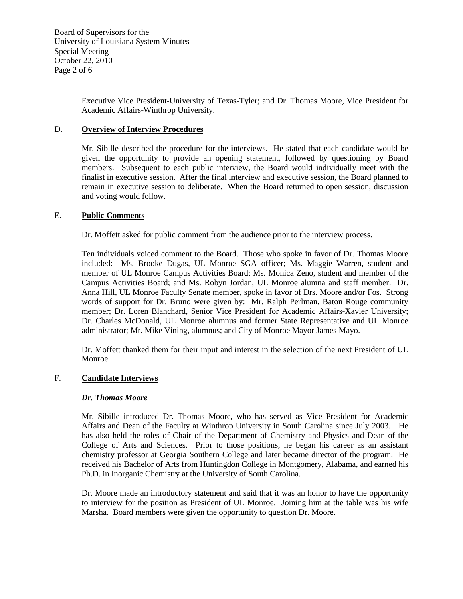Board of Supervisors for the University of Louisiana System Minutes Special Meeting October 22, 2010 Page 2 of 6

> Executive Vice President-University of Texas-Tyler; and Dr. Thomas Moore, Vice President for Academic Affairs-Winthrop University.

# D. **Overview of Interview Procedures**

Mr. Sibille described the procedure for the interviews. He stated that each candidate would be given the opportunity to provide an opening statement, followed by questioning by Board members. Subsequent to each public interview, the Board would individually meet with the finalist in executive session. After the final interview and executive session, the Board planned to remain in executive session to deliberate. When the Board returned to open session, discussion and voting would follow.

# E. **Public Comments**

Dr. Moffett asked for public comment from the audience prior to the interview process.

Ten individuals voiced comment to the Board. Those who spoke in favor of Dr. Thomas Moore included: Ms. Brooke Dugas, UL Monroe SGA officer; Ms. Maggie Warren, student and member of UL Monroe Campus Activities Board; Ms. Monica Zeno, student and member of the Campus Activities Board; and Ms. Robyn Jordan, UL Monroe alumna and staff member. Dr. Anna Hill, UL Monroe Faculty Senate member, spoke in favor of Drs. Moore and/or Fos. Strong words of support for Dr. Bruno were given by: Mr. Ralph Perlman, Baton Rouge community member; Dr. Loren Blanchard, Senior Vice President for Academic Affairs-Xavier University; Dr. Charles McDonald, UL Monroe alumnus and former State Representative and UL Monroe administrator; Mr. Mike Vining, alumnus; and City of Monroe Mayor James Mayo.

Dr. Moffett thanked them for their input and interest in the selection of the next President of UL Monroe.

# F. **Candidate Interviews**

# *Dr. Thomas Moore*

Mr. Sibille introduced Dr. Thomas Moore, who has served as Vice President for Academic Affairs and Dean of the Faculty at Winthrop University in South Carolina since July 2003. He has also held the roles of Chair of the Department of Chemistry and Physics and Dean of the College of Arts and Sciences. Prior to those positions, he began his career as an assistant chemistry professor at Georgia Southern College and later became director of the program. He received his Bachelor of Arts from Huntingdon College in Montgomery, Alabama, and earned his Ph.D. in Inorganic Chemistry at the University of South Carolina.

Dr. Moore made an introductory statement and said that it was an honor to have the opportunity to interview for the position as President of UL Monroe. Joining him at the table was his wife Marsha. Board members were given the opportunity to question Dr. Moore.

- - - - - - - - - - - - - - - - - - -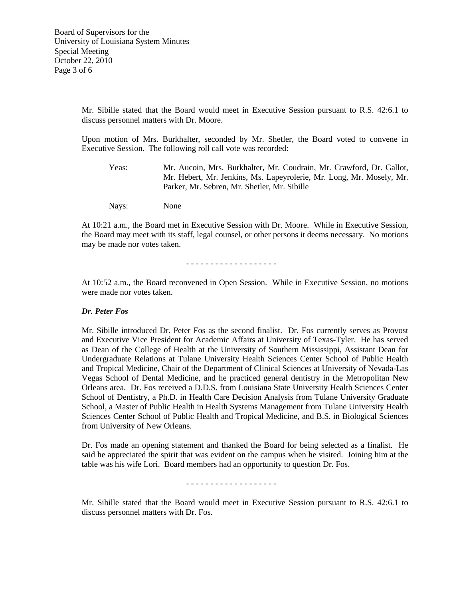Mr. Sibille stated that the Board would meet in Executive Session pursuant to R.S. 42:6.1 to discuss personnel matters with Dr. Moore.

Upon motion of Mrs. Burkhalter, seconded by Mr. Shetler, the Board voted to convene in Executive Session. The following roll call vote was recorded:

Yeas: Mr. Aucoin, Mrs. Burkhalter, Mr. Coudrain, Mr. Crawford, Dr. Gallot, Mr. Hebert, Mr. Jenkins, Ms. Lapeyrolerie, Mr. Long, Mr. Mosely, Mr. Parker, Mr. Sebren, Mr. Shetler, Mr. Sibille

Nays: None

At 10:21 a.m., the Board met in Executive Session with Dr. Moore. While in Executive Session, the Board may meet with its staff, legal counsel, or other persons it deems necessary. No motions may be made nor votes taken.

- - - - - - - - - - - - - - - - - - -

At 10:52 a.m., the Board reconvened in Open Session. While in Executive Session, no motions were made nor votes taken.

#### *Dr. Peter Fos*

Mr. Sibille introduced Dr. Peter Fos as the second finalist. Dr. Fos currently serves as Provost and Executive Vice President for Academic Affairs at University of Texas-Tyler. He has served as Dean of the College of Health at the University of Southern Mississippi, Assistant Dean for Undergraduate Relations at Tulane University Health Sciences Center School of Public Health and Tropical Medicine, Chair of the Department of Clinical Sciences at University of Nevada-Las Vegas School of Dental Medicine, and he practiced general dentistry in the Metropolitan New Orleans area. Dr. Fos received a D.D.S. from Louisiana State University Health Sciences Center School of Dentistry, a Ph.D. in Health Care Decision Analysis from Tulane University Graduate School, a Master of Public Health in Health Systems Management from Tulane University Health Sciences Center School of Public Health and Tropical Medicine, and B.S. in Biological Sciences from University of New Orleans.

Dr. Fos made an opening statement and thanked the Board for being selected as a finalist. He said he appreciated the spirit that was evident on the campus when he visited. Joining him at the table was his wife Lori. Board members had an opportunity to question Dr. Fos.

#### - - - - - - - - - - - - - - - - - - -

Mr. Sibille stated that the Board would meet in Executive Session pursuant to R.S. 42:6.1 to discuss personnel matters with Dr. Fos.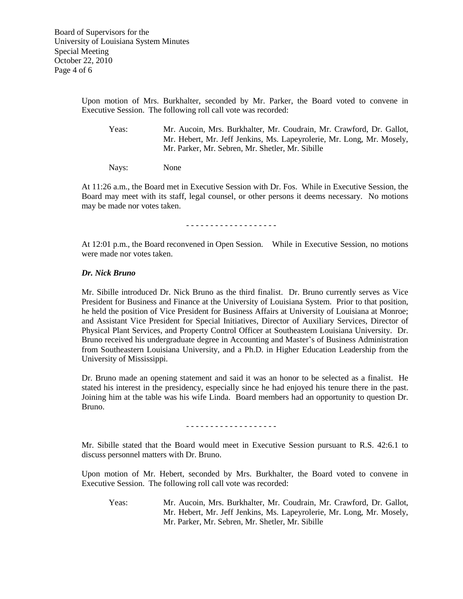Upon motion of Mrs. Burkhalter, seconded by Mr. Parker, the Board voted to convene in Executive Session. The following roll call vote was recorded:

Yeas: Mr. Aucoin, Mrs. Burkhalter, Mr. Coudrain, Mr. Crawford, Dr. Gallot, Mr. Hebert, Mr. Jeff Jenkins, Ms. Lapeyrolerie, Mr. Long, Mr. Mosely, Mr. Parker, Mr. Sebren, Mr. Shetler, Mr. Sibille

Nays: None

At 11:26 a.m., the Board met in Executive Session with Dr. Fos. While in Executive Session, the Board may meet with its staff, legal counsel, or other persons it deems necessary. No motions may be made nor votes taken.

- - - - - - - - - - - - - - - - - - -

At 12:01 p.m., the Board reconvened in Open Session. While in Executive Session, no motions were made nor votes taken.

### *Dr. Nick Bruno*

Mr. Sibille introduced Dr. Nick Bruno as the third finalist. Dr. Bruno currently serves as Vice President for Business and Finance at the University of Louisiana System. Prior to that position, he held the position of Vice President for Business Affairs at University of Louisiana at Monroe; and Assistant Vice President for Special Initiatives, Director of Auxiliary Services, Director of Physical Plant Services, and Property Control Officer at Southeastern Louisiana University. Dr. Bruno received his undergraduate degree in Accounting and Master's of Business Administration from Southeastern Louisiana University, and a Ph.D. in Higher Education Leadership from the University of Mississippi.

Dr. Bruno made an opening statement and said it was an honor to be selected as a finalist. He stated his interest in the presidency, especially since he had enjoyed his tenure there in the past. Joining him at the table was his wife Linda. Board members had an opportunity to question Dr. Bruno.

- - - - - - - - - - - - - - - - - - -

Mr. Sibille stated that the Board would meet in Executive Session pursuant to R.S. 42:6.1 to discuss personnel matters with Dr. Bruno.

Upon motion of Mr. Hebert, seconded by Mrs. Burkhalter, the Board voted to convene in Executive Session. The following roll call vote was recorded:

Yeas: Mr. Aucoin, Mrs. Burkhalter, Mr. Coudrain, Mr. Crawford, Dr. Gallot, Mr. Hebert, Mr. Jeff Jenkins, Ms. Lapeyrolerie, Mr. Long, Mr. Mosely, Mr. Parker, Mr. Sebren, Mr. Shetler, Mr. Sibille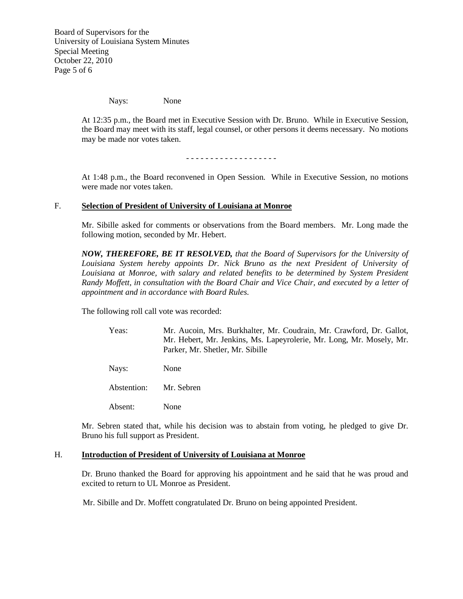Board of Supervisors for the University of Louisiana System Minutes Special Meeting October 22, 2010 Page 5 of 6

Nays: None

At 12:35 p.m., the Board met in Executive Session with Dr. Bruno. While in Executive Session, the Board may meet with its staff, legal counsel, or other persons it deems necessary. No motions may be made nor votes taken.

- - - - - - - - - - - - - - - - - - -

At 1:48 p.m., the Board reconvened in Open Session. While in Executive Session, no motions were made nor votes taken.

### F. **Selection of President of University of Louisiana at Monroe**

Mr. Sibille asked for comments or observations from the Board members. Mr. Long made the following motion, seconded by Mr. Hebert.

*NOW, THEREFORE, BE IT RESOLVED, that the Board of Supervisors for the University of Louisiana System hereby appoints Dr. Nick Bruno as the next President of University of*  Louisiana at Monroe, with salary and related benefits to be determined by System President *Randy Moffett, in consultation with the Board Chair and Vice Chair, and executed by a letter of appointment and in accordance with Board Rules.*

The following roll call vote was recorded:

| Yeas: | Mr. Aucoin, Mrs. Burkhalter, Mr. Coudrain, Mr. Crawford, Dr. Gallot, |
|-------|----------------------------------------------------------------------|
|       | Mr. Hebert, Mr. Jenkins, Ms. Lapeyrolerie, Mr. Long, Mr. Mosely, Mr. |
|       | Parker, Mr. Shetler, Mr. Sibille                                     |

Nays: None

Abstention: Mr. Sebren

Absent: None

Mr. Sebren stated that, while his decision was to abstain from voting, he pledged to give Dr. Bruno his full support as President.

### H. **Introduction of President of University of Louisiana at Monroe**

Dr. Bruno thanked the Board for approving his appointment and he said that he was proud and excited to return to UL Monroe as President.

Mr. Sibille and Dr. Moffett congratulated Dr. Bruno on being appointed President.